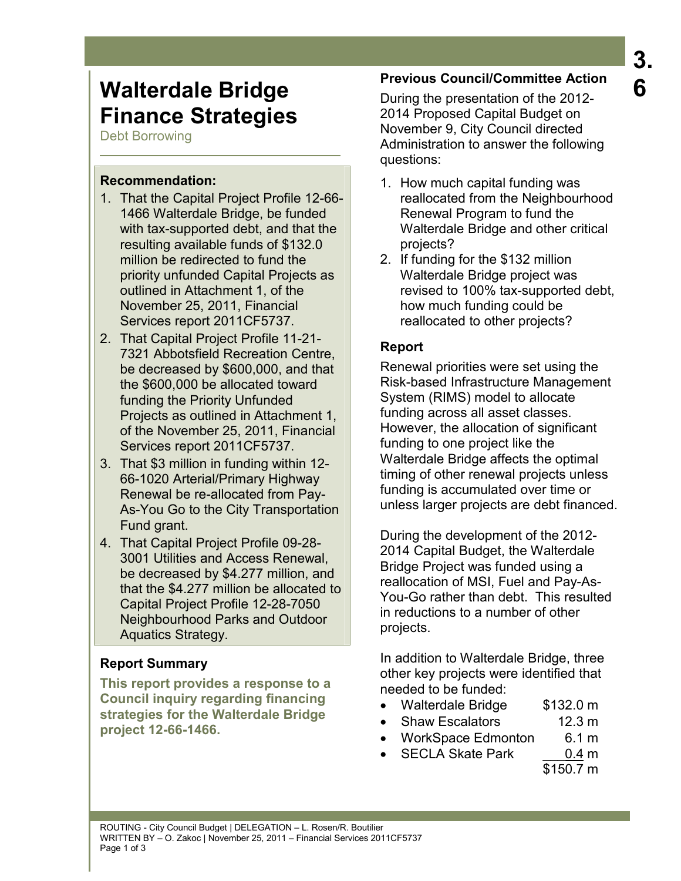# **Walterdale Bridge Finance Strategies**

Debt Borrowing

#### **Recommendation:**

- 1. That the Capital Project Profile 12-66- 1466 Walterdale Bridge, be funded with tax-supported debt, and that the resulting available funds of \$132.0 million be redirected to fund the priority unfunded Capital Projects as outlined in Attachment 1, of the November 25, 2011, Financial Services report 2011CF5737.
- 2. That Capital Project Profile 11-21- 7321 Abbotsfield Recreation Centre, be decreased by \$600,000, and that the \$600,000 be allocated toward funding the Priority Unfunded Projects as outlined in Attachment 1, of the November 25, 2011, Financial Services report 2011CF5737.
- 3. That \$3 million in funding within 12- 66-1020 Arterial/Primary Highway Renewal be re-allocated from Pay-As-You Go to the City Transportation Fund grant.
- 4. That Capital Project Profile 09-28- 3001 Utilities and Access Renewal, be decreased by \$4.277 million, and that the \$4.277 million be allocated to Capital Project Profile 12-28-7050 Neighbourhood Parks and Outdoor Aquatics Strategy.

### **Report Summary**

**This report provides a response to a Council inquiry regarding financing strategies for the Walterdale Bridge project 12-66-1466.** 

# **Previous Council/Committee Action**

During the presentation of the 2012- 2014 Proposed Capital Budget on November 9, City Council directed Administration to answer the following questions:

- 1. How much capital funding was reallocated from the Neighbourhood Renewal Program to fund the Walterdale Bridge and other critical projects?
- 2. If funding for the \$132 million Walterdale Bridge project was revised to 100% tax-supported debt, how much funding could be reallocated to other projects?

# **Report**

Renewal priorities were set using the Risk-based Infrastructure Management System (RIMS) model to allocate funding across all asset classes. However, the allocation of significant funding to one project like the Walterdale Bridge affects the optimal timing of other renewal projects unless funding is accumulated over time or unless larger projects are debt financed.

During the development of the 2012- 2014 Capital Budget, the Walterdale Bridge Project was funded using a reallocation of MSI, Fuel and Pay-As-You-Go rather than debt. This resulted in reductions to a number of other projects.

In addition to Walterdale Bridge, three other key projects were identified that needed to be funded:

- Walterdale Bridge \$132.0 m
- Shaw Escalators 12.3 m
- WorkSpace Edmonton 6.1 m
	- SECLA Skate Park \_\_\_0.4 m

 <sup>\$150.7</sup> m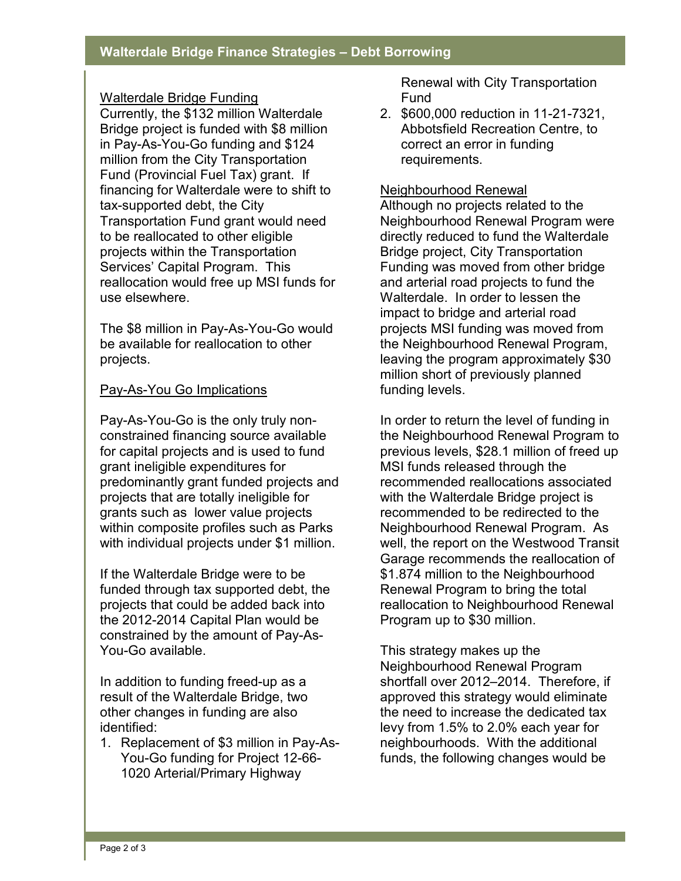#### Walterdale Bridge Funding

Currently, the \$132 million Walterdale Bridge project is funded with \$8 million in Pay-As-You-Go funding and \$124 million from the City Transportation Fund (Provincial Fuel Tax) grant. If financing for Walterdale were to shift to tax-supported debt, the City Transportation Fund grant would need to be reallocated to other eligible projects within the Transportation Services' Capital Program. This reallocation would free up MSI funds for use elsewhere.

The \$8 million in Pay-As-You-Go would be available for reallocation to other projects.

#### Pay-As-You Go Implications

Pay-As-You-Go is the only truly nonconstrained financing source available for capital projects and is used to fund grant ineligible expenditures for predominantly grant funded projects and projects that are totally ineligible for grants such as lower value projects within composite profiles such as Parks with individual projects under \$1 million.

If the Walterdale Bridge were to be funded through tax supported debt, the projects that could be added back into the 2012-2014 Capital Plan would be constrained by the amount of Pay-As-You-Go available.

In addition to funding freed-up as a result of the Walterdale Bridge, two other changes in funding are also identified:

1. Replacement of \$3 million in Pay-As-You-Go funding for Project 12-66- 1020 Arterial/Primary Highway

Renewal with City Transportation Fund

2. \$600,000 reduction in 11-21-7321, Abbotsfield Recreation Centre, to correct an error in funding requirements.

#### Neighbourhood Renewal

Although no projects related to the Neighbourhood Renewal Program were directly reduced to fund the Walterdale Bridge project, City Transportation Funding was moved from other bridge and arterial road projects to fund the Walterdale. In order to lessen the impact to bridge and arterial road projects MSI funding was moved from the Neighbourhood Renewal Program, leaving the program approximately \$30 million short of previously planned funding levels.

In order to return the level of funding in the Neighbourhood Renewal Program to previous levels, \$28.1 million of freed up MSI funds released through the recommended reallocations associated with the Walterdale Bridge project is recommended to be redirected to the Neighbourhood Renewal Program. As well, the report on the Westwood Transit Garage recommends the reallocation of \$1.874 million to the Neighbourhood Renewal Program to bring the total reallocation to Neighbourhood Renewal Program up to \$30 million.

This strategy makes up the Neighbourhood Renewal Program shortfall over 2012–2014. Therefore, if approved this strategy would eliminate the need to increase the dedicated tax levy from 1.5% to 2.0% each year for neighbourhoods. With the additional funds, the following changes would be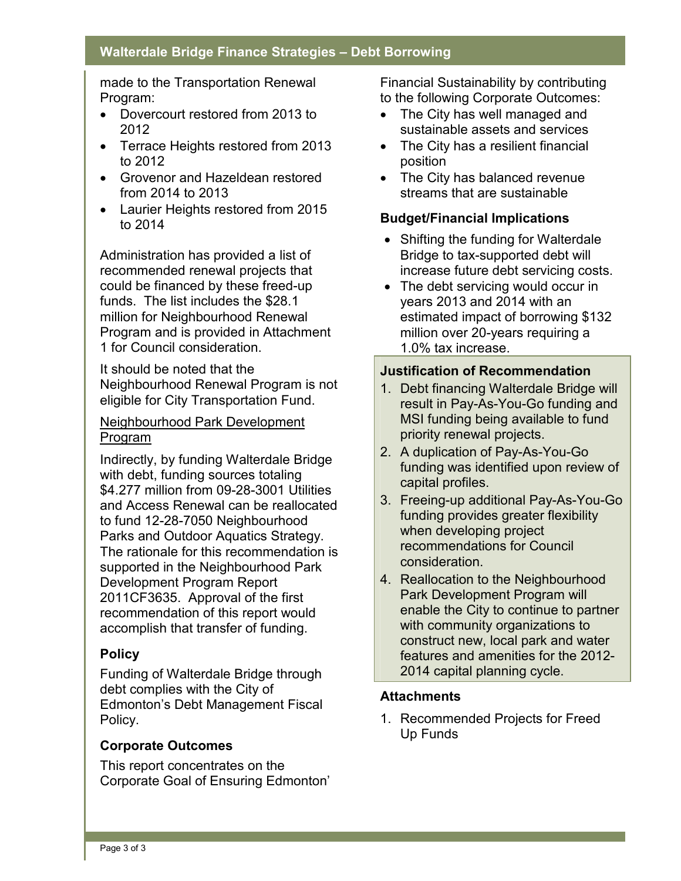made to the Transportation Renewal Program:

- Dovercourt restored from 2013 to 2012
- Terrace Heights restored from 2013 to 2012
- Grovenor and Hazeldean restored from 2014 to 2013
- Laurier Heights restored from 2015 to 2014

Administration has provided a list of recommended renewal projects that could be financed by these freed-up funds. The list includes the \$28.1 million for Neighbourhood Renewal Program and is provided in Attachment 1 for Council consideration.

It should be noted that the Neighbourhood Renewal Program is not eligible for City Transportation Fund.

#### Neighbourhood Park Development Program

Indirectly, by funding Walterdale Bridge with debt, funding sources totaling \$4.277 million from 09-28-3001 Utilities and Access Renewal can be reallocated to fund 12-28-7050 Neighbourhood Parks and Outdoor Aquatics Strategy. The rationale for this recommendation is supported in the Neighbourhood Park Development Program Report 2011CF3635. Approval of the first recommendation of this report would accomplish that transfer of funding.

#### **Policy**

Funding of Walterdale Bridge through debt complies with the City of Edmonton's Debt Management Fiscal Policy.

#### **Corporate Outcomes**

This report concentrates on the Corporate Goal of Ensuring Edmonton'

Financial Sustainability by contributing to the following Corporate Outcomes:

- The City has well managed and sustainable assets and services
- The City has a resilient financial position
- The City has balanced revenue streams that are sustainable

#### **Budget/Financial Implications**

- Shifting the funding for Walterdale Bridge to tax-supported debt will increase future debt servicing costs.
- The debt servicing would occur in years 2013 and 2014 with an estimated impact of borrowing \$132 million over 20-years requiring a 1.0% tax increase.

#### **Justification of Recommendation**

- 1. Debt financing Walterdale Bridge will result in Pay-As-You-Go funding and MSI funding being available to fund priority renewal projects.
- 2. A duplication of Pay-As-You-Go funding was identified upon review of capital profiles.
- 3. Freeing-up additional Pay-As-You-Go funding provides greater flexibility when developing project recommendations for Council consideration.
- 4. Reallocation to the Neighbourhood Park Development Program will enable the City to continue to partner with community organizations to construct new, local park and water features and amenities for the 2012- 2014 capital planning cycle.

#### **Attachments**

1. Recommended Projects for Freed Up Funds